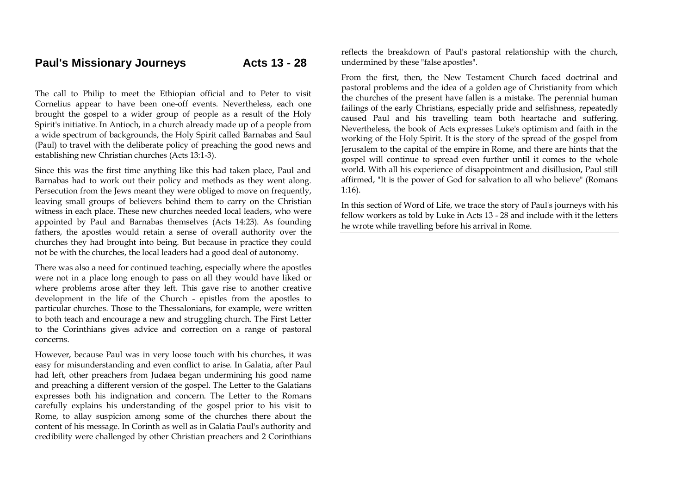The call to Philip to meet the Ethiopian official and to Peter to visit Cornelius appear to have been one-off events. Nevertheless, each one brought the gospel to a wider group of people as a result of the Holy Spirit's initiative. In Antioch, in a church already made up of a people from a wide spectrum of backgrounds, the Holy Spirit called Barnabas and Saul (Paul) to travel with the deliberate policy of preaching the good news and establishing new Christian churches (Acts 13:1-3).

Since this was the first time anything like this had taken place, Paul and Barnabas had to work out their policy and methods as they went along. Persecution from the Jews meant they were obliged to move on frequently, leaving small groups of believers behind them to carry on the Christian witness in each place. These new churches needed local leaders, who were appointed by Paul and Barnabas themselves (Acts 14:23). As founding fathers, the apostles would retain a sense of overall authority over the churches they had brought into being. But because in practice they could not be with the churches, the local leaders had a good deal of autonomy.

There was also a need for continued teaching, especially where the apostles were not in a place long enough to pass on all they would have liked or where problems arose after they left. This gave rise to another creative development in the life of the Church - epistles from the apostles to particular churches. Those to the Thessalonians, for example, were written to both teach and encourage a new and struggling church. The First Letter to the Corinthians gives advice and correction on a range of pastoral concerns.

However, because Paul was in very loose touch with his churches, it was easy for misunderstanding and even conflict to arise. In Galatia, after Paul had left, other preachers from Judaea began undermining his good name and preaching a different version of the gospel. The Letter to the Galatians expresses both his indignation and concern. The Letter to the Romans carefully explains his understanding of the gospel prior to his visit to Rome, to allay suspicion among some of the churches there about the content of his message. In Corinth as well as in Galatia Paul's authority and credibility were challenged by other Christian preachers and 2 Corinthians reflects the breakdown of Paul's pastoral relationship with the church, undermined by these "false apostles".

From the first, then, the New Testament Church faced doctrinal and pastoral problems and the idea of a golden age of Christianity from which the churches of the present have fallen is a mistake. The perennial human failings of the early Christians, especially pride and selfishness, repeatedly caused Paul and his travelling team both heartache and suffering. Nevertheless, the book of Acts expresses Luke's optimism and faith in the working of the Holy Spirit. It is the story of the spread of the gospel from Jerusalem to the capital of the empire in Rome, and there are hints that the gospel will continue to spread even further until it comes to the whole world. With all his experience of disappointment and disillusion, Paul still affirmed, "It is the power of God for salvation to all who believe" (Romans 1:16).

In this section of Word of Life, we trace the story of Paul's journeys with his fellow workers as told by Luke in Acts 13 - 28 and include with it the letters he wrote while travelling before his arrival in Rome.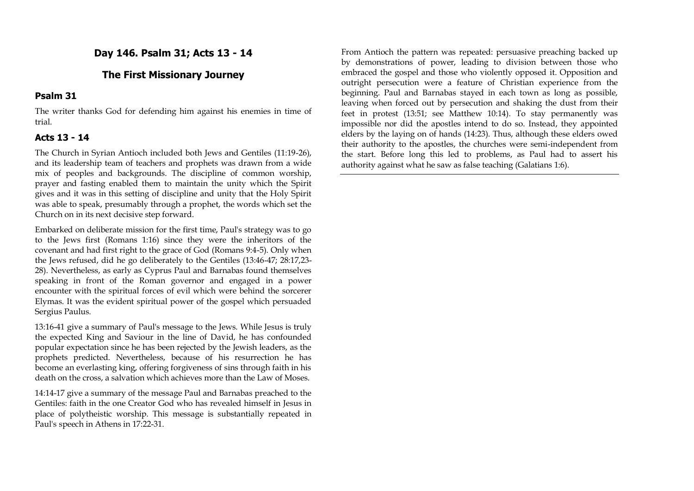# **Day 146. Psalm 31; Acts 13 - 14**

# **The First Missionary Journey**

### **Psalm 31**

The writer thanks God for defending him against his enemies in time of trial.

# **Acts 13 - 14**

The Church in Syrian Antioch included both Jews and Gentiles (11:19-26), and its leadership team of teachers and prophets was drawn from a wide mix of peoples and backgrounds. The discipline of common worship, prayer and fasting enabled them to maintain the unity which the Spirit gives and it was in this setting of discipline and unity that the Holy Spirit was able to speak, presumably through a prophet, the words which set the Church on in its next decisive step forward.

Embarked on deliberate mission for the first time, Paul's strategy was to go to the Jews first (Romans 1:16) since they were the inheritors of the covenant and had first right to the grace of God (Romans 9:4-5). Only when the Jews refused, did he go deliberately to the Gentiles (13:46-47; 28:17,23- 28). Nevertheless, as early as Cyprus Paul and Barnabas found themselves speaking in front of the Roman governor and engaged in a power encounter with the spiritual forces of evil which were behind the sorcerer Elymas. It was the evident spiritual power of the gospel which persuaded Sergius Paulus.

13:16-41 give a summary of Paul's message to the Jews. While Jesus is truly the expected King and Saviour in the line of David, he has confounded popular expectation since he has been rejected by the Jewish leaders, as the prophets predicted. Nevertheless, because of his resurrection he has become an everlasting king, offering forgiveness of sins through faith in his death on the cross, a salvation which achieves more than the Law of Moses.

14:14-17 give a summary of the message Paul and Barnabas preached to the Gentiles: faith in the one Creator God who has revealed himself in Jesus in place of polytheistic worship. This message is substantially repeated in Paul's speech in Athens in 17:22-31.

From Antioch the pattern was repeated: persuasive preaching backed up by demonstrations of power, leading to division between those who embraced the gospel and those who violently opposed it. Opposition and outright persecution were a feature of Christian experience from the beginning. Paul and Barnabas stayed in each town as long as possible, leaving when forced out by persecution and shaking the dust from their feet in protest (13:51; see Matthew 10:14). To stay permanently was impossible nor did the apostles intend to do so. Instead, they appointed elders by the laying on of hands (14:23). Thus, although these elders owed their authority to the apostles, the churches were semi-independent from the start. Before long this led to problems, as Paul had to assert his authority against what he saw as false teaching (Galatians 1:6).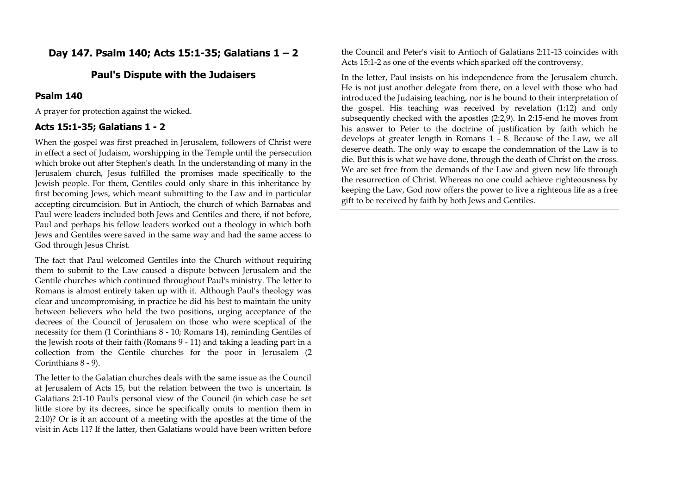# **Day 147. Psalm 140; Acts 15:1-35; Galatians 1 – 2**

### **Paul's Dispute with the Judaisers**

#### **Psalm 140**

A prayer for protection against the wicked.

#### **Acts 15:1-35; Galatians 1 - 2**

When the gospel was first preached in Jerusalem, followers of Christ were in effect a sect of Judaism, worshipping in the Temple until the persecution which broke out after Stephen's death. In the understanding of many in the Jerusalem church, Jesus fulfilled the promises made specifically to the Jewish people. For them, Gentiles could only share in this inheritance by first becoming Jews, which meant submitting to the Law and in particular accepting circumcision. But in Antioch, the church of which Barnabas and Paul were leaders included both Jews and Gentiles and there, if not before, Paul and perhaps his fellow leaders worked out a theology in which both Jews and Gentiles were saved in the same way and had the same access to God through Jesus Christ.

The fact that Paul welcomed Gentiles into the Church without requiring them to submit to the Law caused a dispute between Jerusalem and the Gentile churches which continued throughout Paul's ministry. The letter to Romans is almost entirely taken up with it. Although Paul's theology was clear and uncompromising, in practice he did his best to maintain the unity between believers who held the two positions, urging acceptance of the decrees of the Council of Jerusalem on those who were sceptical of the necessity for them (1 Corinthians 8 - 10; Romans 14), reminding Gentiles of the Jewish roots of their faith (Romans 9 - 11) and taking a leading part in a collection from the Gentile churches for the poor in Jerusalem (2 Corinthians 8 - 9).

The letter to the Galatian churches deals with the same issue as the Council at Jerusalem of Acts 15, but the relation between the two is uncertain. Is Galatians 2:1-10 Paul's personal view of the Council (in which case he set little store by its decrees, since he specifically omits to mention them in 2:10)? Or is it an account of a meeting with the apostles at the time of the visit in Acts 11? If the latter, then Galatians would have been written before

the Council and Peter's visit to Antioch of Galatians 2:11-13 coincides with Acts 15:1-2 as one of the events which sparked off the controversy.

In the letter, Paul insists on his independence from the Jerusalem church. He is not just another delegate from there, on a level with those who had introduced the Judaising teaching, nor is he bound to their interpretation of the gospel. His teaching was received by revelation (1:12) and only subsequently checked with the apostles (2:2,9). In 2:15-end he moves from his answer to Peter to the doctrine of justification by faith which he develops at greater length in Romans 1 - 8. Because of the Law, we all deserve death. The only way to escape the condemnation of the Law is to die. But this is what we have done, through the death of Christ on the cross. We are set free from the demands of the Law and given new life through the resurrection of Christ. Whereas no one could achieve righteousness by keeping the Law, God now offers the power to live a righteous life as a free gift to be received by faith by both Jews and Gentiles.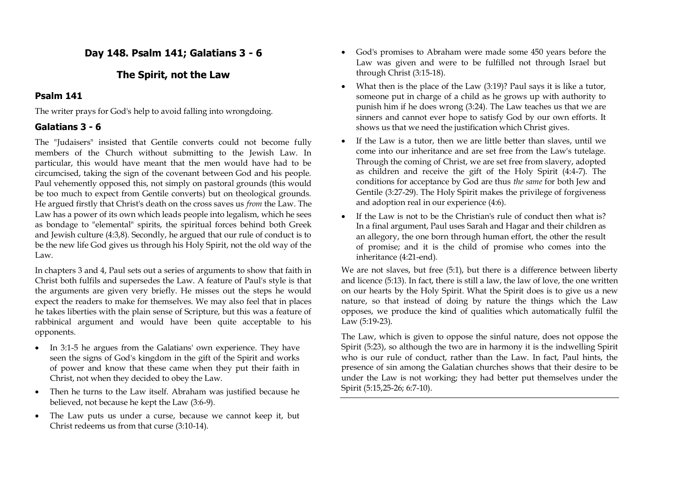# **Day 148. Psalm 141; Galatians 3 - 6**

# **The Spirit, not the Law**

# **Psalm 141**

The writer prays for God's help to avoid falling into wrongdoing.

# **Galatians 3 - 6**

The "Judaisers" insisted that Gentile converts could not become fully members of the Church without submitting to the Jewish Law. In particular, this would have meant that the men would have had to be circumcised, taking the sign of the covenant between God and his people. Paul vehemently opposed this, not simply on pastoral grounds (this would be too much to expect from Gentile converts) but on theological grounds. He argued firstly that Christ's death on the cross saves us *from* the Law. The Law has a power of its own which leads people into legalism, which he sees as bondage to "elemental" spirits, the spiritual forces behind both Greek and Jewish culture (4:3,8). Secondly, he argued that our rule of conduct is to be the new life God gives us through his Holy Spirit, not the old way of the Law.

In chapters 3 and 4, Paul sets out a series of arguments to show that faith in Christ both fulfils and supersedes the Law. A feature of Paul's style is that the arguments are given very briefly. He misses out the steps he would expect the readers to make for themselves. We may also feel that in places he takes liberties with the plain sense of Scripture, but this was a feature of rabbinical argument and would have been quite acceptable to his opponents.

- In 3:1-5 he argues from the Galatians' own experience. They have seen the signs of God's kingdom in the gift of the Spirit and works of power and know that these came when they put their faith in Christ, not when they decided to obey the Law.
- Then he turns to the Law itself. Abraham was justified because he believed, not because he kept the Law (3:6-9).
- The Law puts us under a curse, because we cannot keep it, but Christ redeems us from that curse (3:10-14).
- God's promises to Abraham were made some 450 years before the Law was given and were to be fulfilled not through Israel but through Christ (3:15-18).
- What then is the place of the Law (3:19)? Paul says it is like a tutor, someone put in charge of a child as he grows up with authority to punish him if he does wrong (3:24). The Law teaches us that we are sinners and cannot ever hope to satisfy God by our own efforts. It shows us that we need the justification which Christ gives.
- If the Law is a tutor, then we are little better than slaves, until we come into our inheritance and are set free from the Law's tutelage. Through the coming of Christ, we are set free from slavery, adopted as children and receive the gift of the Holy Spirit (4:4-7). The conditions for acceptance by God are thus *the same* for both Jew and Gentile (3:27-29). The Holy Spirit makes the privilege of forgiveness and adoption real in our experience (4:6).
- If the Law is not to be the Christian's rule of conduct then what is? In a final argument, Paul uses Sarah and Hagar and their children as an allegory, the one born through human effort, the other the result of promise; and it is the child of promise who comes into the inheritance (4:21-end).

We are not slaves, but free (5:1), but there is a difference between liberty and licence (5:13). In fact, there is still a law, the law of love, the one written on our hearts by the Holy Spirit. What the Spirit does is to give us a new nature, so that instead of doing by nature the things which the Law opposes, we produce the kind of qualities which automatically fulfil the Law (5:19-23).

The Law, which is given to oppose the sinful nature, does not oppose the Spirit (5:23), so although the two are in harmony it is the indwelling Spirit who is our rule of conduct, rather than the Law. In fact, Paul hints, the presence of sin among the Galatian churches shows that their desire to be under the Law is not working; they had better put themselves under the Spirit (5:15,25-26; 6:7-10).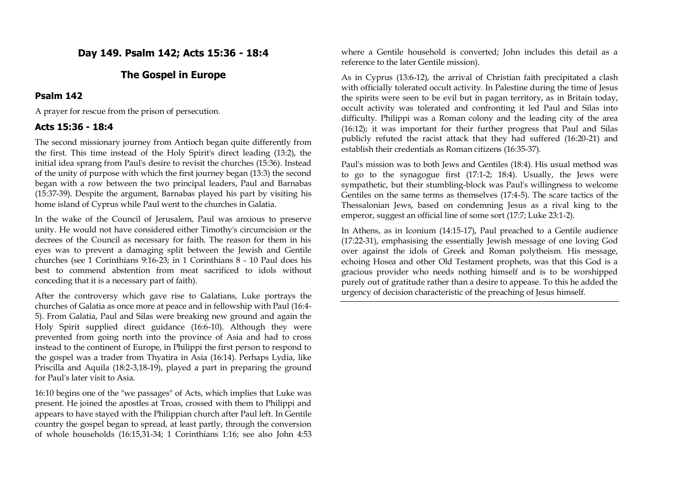# **Day 149. Psalm 142; Acts 15:36 - 18:4**

# **The Gospel in Europe**

### **Psalm 142**

A prayer for rescue from the prison of persecution.

### **Acts 15:36 - 18:4**

The second missionary journey from Antioch began quite differently from the first. This time instead of the Holy Spirit's direct leading (13:2), the initial idea sprang from Paul's desire to revisit the churches (15:36). Instead of the unity of purpose with which the first journey began (13:3) the second began with a row between the two principal leaders, Paul and Barnabas (15:37-39). Despite the argument, Barnabas played his part by visiting his home island of Cyprus while Paul went to the churches in Galatia.

In the wake of the Council of Jerusalem, Paul was anxious to preserve unity. He would not have considered either Timothy's circumcision or the decrees of the Council as necessary for faith. The reason for them in his eyes was to prevent a damaging split between the Jewish and Gentile churches (see 1 Corinthians 9:16-23; in 1 Corinthians 8 - 10 Paul does his best to commend abstention from meat sacrificed to idols without conceding that it is a necessary part of faith).

After the controversy which gave rise to Galatians, Luke portrays the churches of Galatia as once more at peace and in fellowship with Paul (16:4- 5). From Galatia, Paul and Silas were breaking new ground and again the Holy Spirit supplied direct guidance (16:6-10). Although they were prevented from going north into the province of Asia and had to cross instead to the continent of Europe, in Philippi the first person to respond to the gospel was a trader from Thyatira in Asia (16:14). Perhaps Lydia, like Priscilla and Aquila (18:2-3,18-19), played a part in preparing the ground for Paul's later visit to Asia.

16:10 begins one of the "we passages" of Acts, which implies that Luke was present. He joined the apostles at Troas, crossed with them to Philippi and appears to have stayed with the Philippian church after Paul left. In Gentile country the gospel began to spread, at least partly, through the conversion of whole households (16:15,31-34; 1 Corinthians 1:16; see also John 4:53

where a Gentile household is converted; John includes this detail as a reference to the later Gentile mission).

As in Cyprus (13:6-12), the arrival of Christian faith precipitated a clash with officially tolerated occult activity. In Palestine during the time of Jesus the spirits were seen to be evil but in pagan territory, as in Britain today, occult activity was tolerated and confronting it led Paul and Silas into difficulty. Philippi was a Roman colony and the leading city of the area (16:12); it was important for their further progress that Paul and Silas publicly refuted the racist attack that they had suffered (16:20-21) and establish their credentials as Roman citizens (16:35-37).

Paul's mission was to both Jews and Gentiles (18:4). His usual method was to go to the synagogue first (17:1-2; 18:4). Usually, the Jews were sympathetic, but their stumbling-block was Paul's willingness to welcome Gentiles on the same terms as themselves (17:4-5). The scare tactics of the Thessalonian Jews, based on condemning Jesus as a rival king to the emperor, suggest an official line of some sort (17:7; Luke 23:1-2).

In Athens, as in Iconium (14:15-17), Paul preached to a Gentile audience (17:22-31), emphasising the essentially Jewish message of one loving God over against the idols of Greek and Roman polytheism. His message, echoing Hosea and other Old Testament prophets, was that this God is a gracious provider who needs nothing himself and is to be worshipped purely out of gratitude rather than a desire to appease. To this he added the urgency of decision characteristic of the preaching of Jesus himself.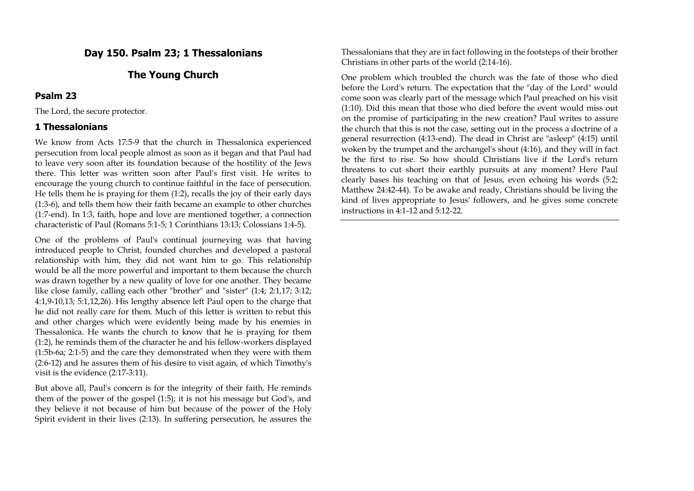# **Day 150. Psalm 23; 1 Thessalonians**

### **The Young Church**

#### **Psalm 23**

The Lord, the secure protector.

### **1 Thessalonians**

We know from Acts 17:5-9 that the church in Thessalonica experienced persecution from local people almost as soon as it began and that Paul had to leave very soon after its foundation because of the hostility of the Jews there. This letter was written soon after Paul's first visit. He writes to encourage the young church to continue faithful in the face of persecution. He tells them he is praying for them (1:2), recalls the joy of their early days (1:3-6), and tells them how their faith became an example to other churches (1:7-end). In 1:3, faith, hope and love are mentioned together, a connection characteristic of Paul (Romans 5:1-5; 1 Corinthians 13:13; Colossians 1:4-5).

One of the problems of Paul's continual journeying was that having introduced people to Christ, founded churches and developed a pastoral relationship with him, they did not want him to go. This relationship would be all the more powerful and important to them because the church was drawn together by a new quality of love for one another. They became like close family, calling each other "brother" and "sister" (1:4; 2:1,17; 3:12; 4:1,9-10,13; 5:1,12,26). His lengthy absence left Paul open to the charge that he did not really care for them. Much of this letter is written to rebut this and other charges which were evidently being made by his enemies in Thessalonica. He wants the church to know that he is praying for them (1:2), he reminds them of the character he and his fellow-workers displayed (1:5b-6a; 2:1-5) and the care they demonstrated when they were with them (2:6-12) and he assures them of his desire to visit again, of which Timothy's visit is the evidence (2:17-3:11).

But above all, Paul's concern is for the integrity of their faith. He reminds them of the power of the gospel (1:5); it is not his message but God's, and they believe it not because of him but because of the power of the Holy Spirit evident in their lives (2:13). In suffering persecution, he assures the Thessalonians that they are in fact following in the footsteps of their brother Christians in other parts of the world (2:14-16).

One problem which troubled the church was the fate of those who died before the Lord's return. The expectation that the "day of the Lord" would come soon was clearly part of the message which Paul preached on his visit (1:10). Did this mean that those who died before the event would miss out on the promise of participating in the new creation? Paul writes to assure the church that this is not the case, setting out in the process a doctrine of a general resurrection (4:13-end). The dead in Christ are "asleep" (4:15) until woken by the trumpet and the archangel's shout (4:16), and they will in fact be the first to rise. So how should Christians live if the Lord's return threatens to cut short their earthly pursuits at any moment? Here Paul clearly bases his teaching on that of Jesus, even echoing his words (5:2; Matthew 24:42-44). To be awake and ready, Christians should be living the kind of lives appropriate to Jesus' followers, and he gives some concrete instructions in 4:1-12 and 5:12-22.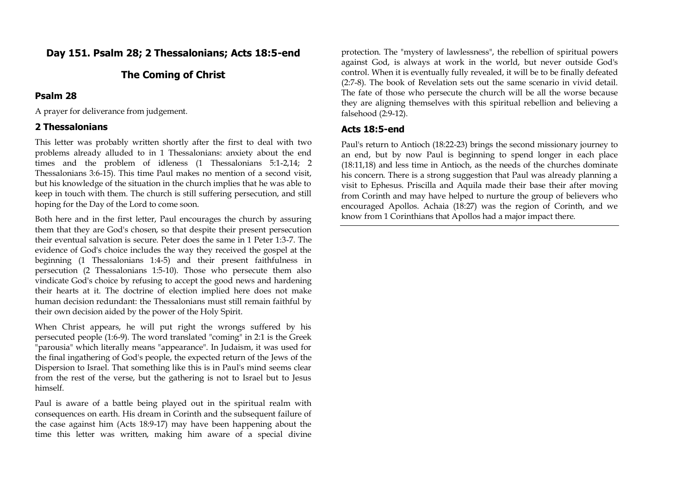# **Day 151. Psalm 28; 2 Thessalonians; Acts 18:5-end**

### **The Coming of Christ**

#### **Psalm 28**

A prayer for deliverance from judgement.

### **2 Thessalonians**

This letter was probably written shortly after the first to deal with two problems already alluded to in 1 Thessalonians: anxiety about the end times and the problem of idleness (1 Thessalonians 5:1-2,14; 2 Thessalonians 3:6-15). This time Paul makes no mention of a second visit, but his knowledge of the situation in the church implies that he was able to keep in touch with them. The church is still suffering persecution, and still hoping for the Day of the Lord to come soon.

Both here and in the first letter, Paul encourages the church by assuring them that they are God's chosen, so that despite their present persecution their eventual salvation is secure. Peter does the same in 1 Peter 1:3-7. The evidence of God's choice includes the way they received the gospel at the beginning (1 Thessalonians 1:4-5) and their present faithfulness in persecution (2 Thessalonians 1:5-10). Those who persecute them also vindicate God's choice by refusing to accept the good news and hardening their hearts at it. The doctrine of election implied here does not make human decision redundant: the Thessalonians must still remain faithful by their own decision aided by the power of the Holy Spirit.

When Christ appears, he will put right the wrongs suffered by his persecuted people (1:6-9). The word translated "coming" in 2:1 is the Greek "parousia" which literally means "appearance". In Judaism, it was used for the final ingathering of God's people, the expected return of the Jews of the Dispersion to Israel. That something like this is in Paul's mind seems clear from the rest of the verse, but the gathering is not to Israel but to Jesus himself.

Paul is aware of a battle being played out in the spiritual realm with consequences on earth. His dream in Corinth and the subsequent failure of the case against him (Acts 18:9-17) may have been happening about the time this letter was written, making him aware of a special divine

protection. The "mystery of lawlessness", the rebellion of spiritual powers against God, is always at work in the world, but never outside God's control. When it is eventually fully revealed, it will be to be finally defeated (2:7-8). The book of Revelation sets out the same scenario in vivid detail. The fate of those who persecute the church will be all the worse because they are aligning themselves with this spiritual rebellion and believing a falsehood (2:9-12).

#### **Acts 18:5-end**

Paul's return to Antioch (18:22-23) brings the second missionary journey to an end, but by now Paul is beginning to spend longer in each place (18:11,18) and less time in Antioch, as the needs of the churches dominate his concern. There is a strong suggestion that Paul was already planning a visit to Ephesus. Priscilla and Aquila made their base their after moving from Corinth and may have helped to nurture the group of believers who encouraged Apollos. Achaia (18:27) was the region of Corinth, and we know from 1 Corinthians that Apollos had a major impact there.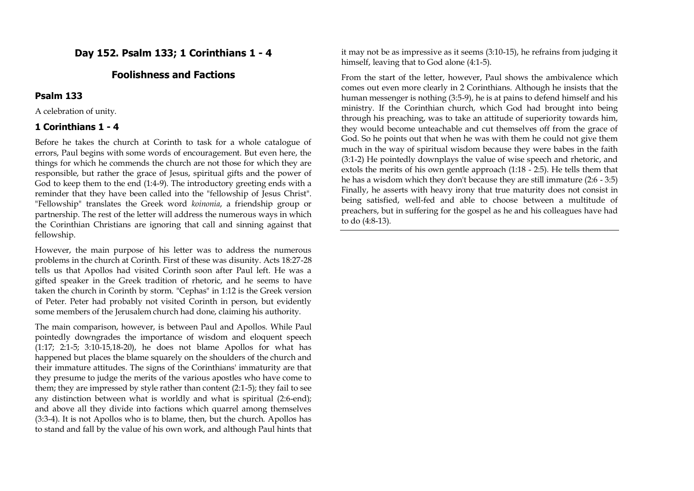# **Day 152. Psalm 133; 1 Corinthians 1 - 4**

# **Foolishness and Factions**

#### **Psalm 133**

A celebration of unity.

#### **1 Corinthians 1 - 4**

Before he takes the church at Corinth to task for a whole catalogue of errors, Paul begins with some words of encouragement. But even here, the things for which he commends the church are not those for which they are responsible, but rather the grace of Jesus, spiritual gifts and the power of God to keep them to the end (1:4-9). The introductory greeting ends with a reminder that they have been called into the "fellowship of Jesus Christ". "Fellowship" translates the Greek word *koinonia*, a friendship group or partnership. The rest of the letter will address the numerous ways in which the Corinthian Christians are ignoring that call and sinning against that fellowship.

However, the main purpose of his letter was to address the numerous problems in the church at Corinth. First of these was disunity. Acts 18:27-28 tells us that Apollos had visited Corinth soon after Paul left. He was a gifted speaker in the Greek tradition of rhetoric, and he seems to have taken the church in Corinth by storm. "Cephas" in 1:12 is the Greek version of Peter. Peter had probably not visited Corinth in person, but evidently some members of the Jerusalem church had done, claiming his authority.

The main comparison, however, is between Paul and Apollos. While Paul pointedly downgrades the importance of wisdom and eloquent speech (1:17; 2:1-5; 3:10-15,18-20), he does not blame Apollos for what has happened but places the blame squarely on the shoulders of the church and their immature attitudes. The signs of the Corinthians' immaturity are that they presume to judge the merits of the various apostles who have come to them; they are impressed by style rather than content (2:1-5); they fail to see any distinction between what is worldly and what is spiritual (2:6-end); and above all they divide into factions which quarrel among themselves (3:3-4). It is not Apollos who is to blame, then, but the church. Apollos has to stand and fall by the value of his own work, and although Paul hints that it may not be as impressive as it seems (3:10-15), he refrains from judging it himself, leaving that to God alone (4:1-5).

From the start of the letter, however, Paul shows the ambivalence which comes out even more clearly in 2 Corinthians. Although he insists that the human messenger is nothing (3:5-9), he is at pains to defend himself and his ministry. If the Corinthian church, which God had brought into being through his preaching, was to take an attitude of superiority towards him, they would become unteachable and cut themselves off from the grace of God. So he points out that when he was with them he could not give them much in the way of spiritual wisdom because they were babes in the faith (3:1-2) He pointedly downplays the value of wise speech and rhetoric, and extols the merits of his own gentle approach (1:18 - 2:5). He tells them that he has a wisdom which they don't because they are still immature (2:6 - 3:5) Finally, he asserts with heavy irony that true maturity does not consist in being satisfied, well-fed and able to choose between a multitude of preachers, but in suffering for the gospel as he and his colleagues have had to do (4:8-13).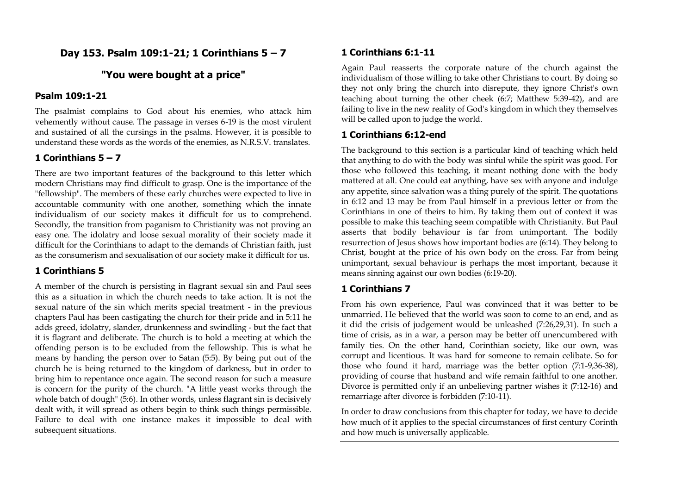# **Day 153. Psalm 109:1-21; 1 Corinthians 5 – 7**

# **"You were bought at a price"**

### **Psalm 109:1-21**

The psalmist complains to God about his enemies, who attack him vehemently without cause. The passage in verses 6-19 is the most virulent and sustained of all the cursings in the psalms. However, it is possible to understand these words as the words of the enemies, as N.R.S.V. translates.

# **1 Corinthians 5 – 7**

There are two important features of the background to this letter which modern Christians may find difficult to grasp. One is the importance of the "fellowship". The members of these early churches were expected to live in accountable community with one another, something which the innate individualism of our society makes it difficult for us to comprehend. Secondly, the transition from paganism to Christianity was not proving an easy one. The idolatry and loose sexual morality of their society made it difficult for the Corinthians to adapt to the demands of Christian faith, just as the consumerism and sexualisation of our society make it difficult for us.

# **1 Corinthians 5**

A member of the church is persisting in flagrant sexual sin and Paul sees this as a situation in which the church needs to take action. It is not the sexual nature of the sin which merits special treatment - in the previous chapters Paul has been castigating the church for their pride and in 5:11 he adds greed, idolatry, slander, drunkenness and swindling - but the fact that it is flagrant and deliberate. The church is to hold a meeting at which the offending person is to be excluded from the fellowship. This is what he means by handing the person over to Satan (5:5). By being put out of the church he is being returned to the kingdom of darkness, but in order to bring him to repentance once again. The second reason for such a measure is concern for the purity of the church. "A little yeast works through the whole batch of dough" (5:6). In other words, unless flagrant sin is decisively dealt with, it will spread as others begin to think such things permissible. Failure to deal with one instance makes it impossible to deal with subsequent situations.

### **1 Corinthians 6:1-11**

Again Paul reasserts the corporate nature of the church against the individualism of those willing to take other Christians to court. By doing so they not only bring the church into disrepute, they ignore Christ's own teaching about turning the other cheek (6:7; Matthew 5:39-42), and are failing to live in the new reality of God's kingdom in which they themselves will be called upon to judge the world.

### **1 Corinthians 6:12-end**

The background to this section is a particular kind of teaching which held that anything to do with the body was sinful while the spirit was good. For those who followed this teaching, it meant nothing done with the body mattered at all. One could eat anything, have sex with anyone and indulge any appetite, since salvation was a thing purely of the spirit. The quotations in 6:12 and 13 may be from Paul himself in a previous letter or from the Corinthians in one of theirs to him. By taking them out of context it was possible to make this teaching seem compatible with Christianity. But Paul asserts that bodily behaviour is far from unimportant. The bodily resurrection of Jesus shows how important bodies are (6:14). They belong to Christ, bought at the price of his own body on the cross. Far from being unimportant, sexual behaviour is perhaps the most important, because it means sinning against our own bodies (6:19-20).

# **1 Corinthians 7**

From his own experience, Paul was convinced that it was better to be unmarried. He believed that the world was soon to come to an end, and as it did the crisis of judgement would be unleashed (7:26,29,31). In such a time of crisis, as in a war, a person may be better off unencumbered with family ties. On the other hand, Corinthian society, like our own, was corrupt and licentious. It was hard for someone to remain celibate. So for those who found it hard, marriage was the better option (7:1-9,36-38), providing of course that husband and wife remain faithful to one another. Divorce is permitted only if an unbelieving partner wishes it (7:12-16) and remarriage after divorce is forbidden (7:10-11).

In order to draw conclusions from this chapter for today, we have to decide how much of it applies to the special circumstances of first century Corinth and how much is universally applicable.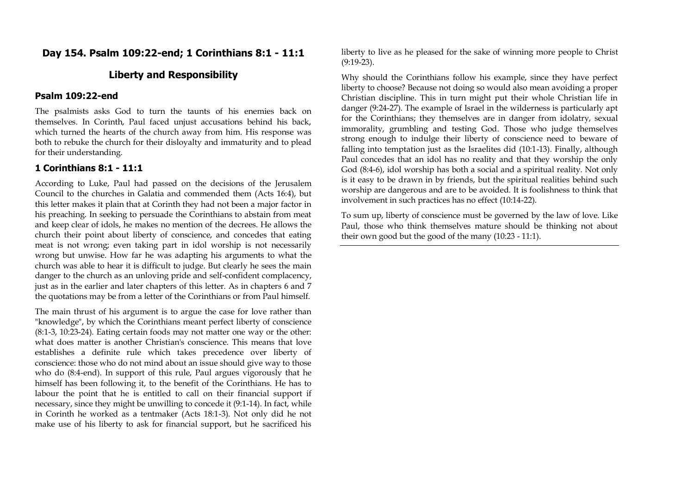# **Day 154. Psalm 109:22-end; 1 Corinthians 8:1 - 11:1**

### **Liberty and Responsibility**

### **Psalm 109:22-end**

The psalmists asks God to turn the taunts of his enemies back on themselves. In Corinth, Paul faced unjust accusations behind his back, which turned the hearts of the church away from him. His response was both to rebuke the church for their disloyalty and immaturity and to plead for their understanding.

#### **1 Corinthians 8:1 - 11:1**

According to Luke, Paul had passed on the decisions of the Jerusalem Council to the churches in Galatia and commended them (Acts 16:4), but this letter makes it plain that at Corinth they had not been a major factor in his preaching. In seeking to persuade the Corinthians to abstain from meat and keep clear of idols, he makes no mention of the decrees. He allows the church their point about liberty of conscience, and concedes that eating meat is not wrong; even taking part in idol worship is not necessarily wrong but unwise. How far he was adapting his arguments to what the church was able to hear it is difficult to judge. But clearly he sees the main danger to the church as an unloving pride and self-confident complacency, just as in the earlier and later chapters of this letter. As in chapters 6 and 7 the quotations may be from a letter of the Corinthians or from Paul himself.

The main thrust of his argument is to argue the case for love rather than "knowledge", by which the Corinthians meant perfect liberty of conscience (8:1-3, 10:23-24). Eating certain foods may not matter one way or the other: what does matter is another Christian's conscience. This means that love establishes a definite rule which takes precedence over liberty of conscience: those who do not mind about an issue should give way to those who do (8:4-end). In support of this rule, Paul argues vigorously that he himself has been following it, to the benefit of the Corinthians. He has to labour the point that he is entitled to call on their financial support if necessary, since they might be unwilling to concede it (9:1-14). In fact, while in Corinth he worked as a tentmaker (Acts 18:1-3). Not only did he not make use of his liberty to ask for financial support, but he sacrificed his

liberty to live as he pleased for the sake of winning more people to Christ (9:19-23).

Why should the Corinthians follow his example, since they have perfect liberty to choose? Because not doing so would also mean avoiding a proper Christian discipline. This in turn might put their whole Christian life in danger (9:24-27). The example of Israel in the wilderness is particularly apt for the Corinthians; they themselves are in danger from idolatry, sexual immorality, grumbling and testing God. Those who judge themselves strong enough to indulge their liberty of conscience need to beware of falling into temptation just as the Israelites did (10:1-13). Finally, although Paul concedes that an idol has no reality and that they worship the only God (8:4-6), idol worship has both a social and a spiritual reality. Not only is it easy to be drawn in by friends, but the spiritual realities behind such worship are dangerous and are to be avoided. It is foolishness to think that involvement in such practices has no effect (10:14-22).

To sum up, liberty of conscience must be governed by the law of love. Like Paul, those who think themselves mature should be thinking not about their own good but the good of the many (10:23 - 11:1).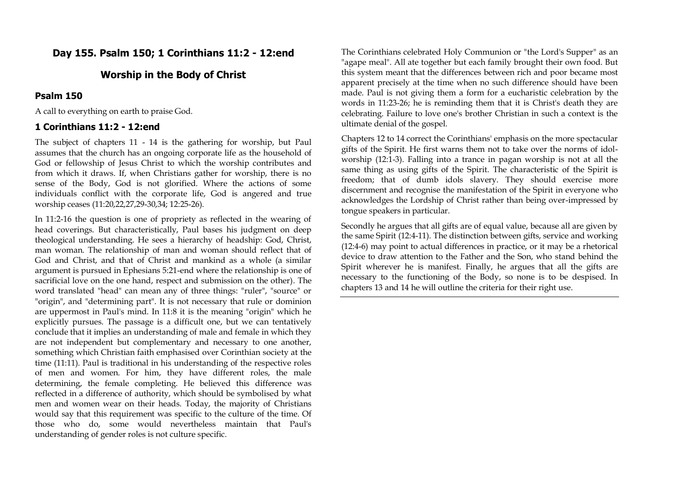# **Day 155. Psalm 150; 1 Corinthians 11:2 - 12:end**

### **Worship in the Body of Christ**

#### **Psalm 150**

A call to everything on earth to praise God.

### **1 Corinthians 11:2 - 12:end**

The subject of chapters 11 - 14 is the gathering for worship, but Paul assumes that the church has an ongoing corporate life as the household of God or fellowship of Jesus Christ to which the worship contributes and from which it draws. If, when Christians gather for worship, there is no sense of the Body, God is not glorified. Where the actions of some individuals conflict with the corporate life, God is angered and true worship ceases (11:20,22,27,29-30,34; 12:25-26).

In 11:2-16 the question is one of propriety as reflected in the wearing of head coverings. But characteristically, Paul bases his judgment on deep theological understanding. He sees a hierarchy of headship: God, Christ, man woman. The relationship of man and woman should reflect that of God and Christ, and that of Christ and mankind as a whole (a similar argument is pursued in Ephesians 5:21-end where the relationship is one of sacrificial love on the one hand, respect and submission on the other). The word translated "head" can mean any of three things: "ruler", "source" or "origin", and "determining part". It is not necessary that rule or dominion are uppermost in Paul's mind. In 11:8 it is the meaning "origin" which he explicitly pursues. The passage is a difficult one, but we can tentatively conclude that it implies an understanding of male and female in which they are not independent but complementary and necessary to one another, something which Christian faith emphasised over Corinthian society at the time (11:11). Paul is traditional in his understanding of the respective roles of men and women. For him, they have different roles, the male determining, the female completing. He believed this difference was reflected in a difference of authority, which should be symbolised by what men and women wear on their heads. Today, the majority of Christians would say that this requirement was specific to the culture of the time. Of those who do, some would nevertheless maintain that Paul's understanding of gender roles is not culture specific.

The Corinthians celebrated Holy Communion or "the Lord's Supper" as an "agape meal". All ate together but each family brought their own food. But this system meant that the differences between rich and poor became most apparent precisely at the time when no such difference should have been made. Paul is not giving them a form for a eucharistic celebration by the words in 11:23-26; he is reminding them that it is Christ's death they are celebrating. Failure to love one's brother Christian in such a context is the ultimate denial of the gospel.

Chapters 12 to 14 correct the Corinthians' emphasis on the more spectacular gifts of the Spirit. He first warns them not to take over the norms of idolworship (12:1-3). Falling into a trance in pagan worship is not at all the same thing as using gifts of the Spirit. The characteristic of the Spirit is freedom; that of dumb idols slavery. They should exercise more discernment and recognise the manifestation of the Spirit in everyone who acknowledges the Lordship of Christ rather than being over-impressed by tongue speakers in particular.

Secondly he argues that all gifts are of equal value, because all are given by the same Spirit (12:4-11). The distinction between gifts, service and working (12:4-6) may point to actual differences in practice, or it may be a rhetorical device to draw attention to the Father and the Son, who stand behind the Spirit wherever he is manifest. Finally, he argues that all the gifts are necessary to the functioning of the Body, so none is to be despised. In chapters 13 and 14 he will outline the criteria for their right use.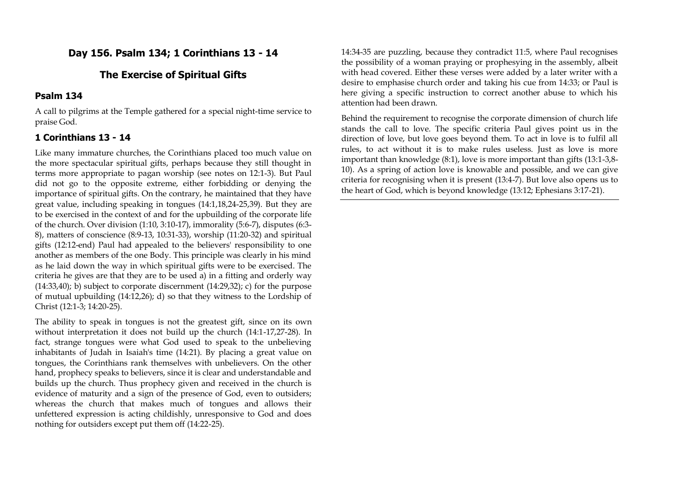# **Day 156. Psalm 134; 1 Corinthians 13 - 14**

# **The Exercise of Spiritual Gifts**

#### **Psalm 134**

A call to pilgrims at the Temple gathered for a special night-time service to praise God.

### **1 Corinthians 13 - 14**

Like many immature churches, the Corinthians placed too much value on the more spectacular spiritual gifts, perhaps because they still thought in terms more appropriate to pagan worship (see notes on 12:1-3). But Paul did not go to the opposite extreme, either forbidding or denying the importance of spiritual gifts. On the contrary, he maintained that they have great value, including speaking in tongues (14:1,18,24-25,39). But they are to be exercised in the context of and for the upbuilding of the corporate life of the church. Over division (1:10, 3:10-17), immorality (5:6-7), disputes (6:3- 8), matters of conscience (8:9-13, 10:31-33), worship (11:20-32) and spiritual gifts (12:12-end) Paul had appealed to the believers' responsibility to one another as members of the one Body. This principle was clearly in his mind as he laid down the way in which spiritual gifts were to be exercised. The criteria he gives are that they are to be used a) in a fitting and orderly way  $(14:33,40)$ ; b) subject to corporate discernment  $(14:29,32)$ ; c) for the purpose of mutual upbuilding (14:12,26); d) so that they witness to the Lordship of Christ (12:1-3; 14:20-25).

The ability to speak in tongues is not the greatest gift, since on its own without interpretation it does not build up the church (14:1-17,27-28). In fact, strange tongues were what God used to speak to the unbelieving inhabitants of Judah in Isaiah's time (14:21). By placing a great value on tongues, the Corinthians rank themselves with unbelievers. On the other hand, prophecy speaks to believers, since it is clear and understandable and builds up the church. Thus prophecy given and received in the church is evidence of maturity and a sign of the presence of God, even to outsiders; whereas the church that makes much of tongues and allows their unfettered expression is acting childishly, unresponsive to God and does nothing for outsiders except put them off (14:22-25).

14:34-35 are puzzling, because they contradict 11:5, where Paul recognises the possibility of a woman praying or prophesying in the assembly, albeit with head covered. Either these verses were added by a later writer with a desire to emphasise church order and taking his cue from 14:33; or Paul is here giving a specific instruction to correct another abuse to which his attention had been drawn.

Behind the requirement to recognise the corporate dimension of church life stands the call to love. The specific criteria Paul gives point us in the direction of love, but love goes beyond them. To act in love is to fulfil all rules, to act without it is to make rules useless. Just as love is more important than knowledge (8:1), love is more important than gifts (13:1-3,8- 10). As a spring of action love is knowable and possible, and we can give criteria for recognising when it is present (13:4-7). But love also opens us to the heart of God, which is beyond knowledge (13:12; Ephesians 3:17-21).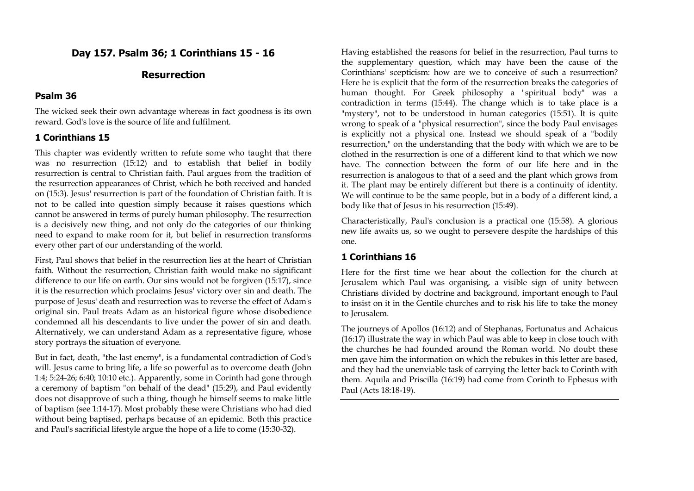# **Day 157. Psalm 36; 1 Corinthians 15 - 16**

# **Resurrection**

#### **Psalm 36**

The wicked seek their own advantage whereas in fact goodness is its own reward. God's love is the source of life and fulfilment.

#### **1 Corinthians 15**

This chapter was evidently written to refute some who taught that there was no resurrection (15:12) and to establish that belief in bodily resurrection is central to Christian faith. Paul argues from the tradition of the resurrection appearances of Christ, which he both received and handed on (15:3). Jesus' resurrection is part of the foundation of Christian faith. It is not to be called into question simply because it raises questions which cannot be answered in terms of purely human philosophy. The resurrection is a decisively new thing, and not only do the categories of our thinking need to expand to make room for it, but belief in resurrection transforms every other part of our understanding of the world.

First, Paul shows that belief in the resurrection lies at the heart of Christian faith. Without the resurrection, Christian faith would make no significant difference to our life on earth. Our sins would not be forgiven (15:17), since it is the resurrection which proclaims Jesus' victory over sin and death. The purpose of Jesus' death and resurrection was to reverse the effect of Adam's original sin. Paul treats Adam as an historical figure whose disobedience condemned all his descendants to live under the power of sin and death. Alternatively, we can understand Adam as a representative figure, whose story portrays the situation of everyone.

But in fact, death, "the last enemy", is a fundamental contradiction of God's will. Jesus came to bring life, a life so powerful as to overcome death (John 1:4; 5:24-26; 6:40; 10:10 etc.). Apparently, some in Corinth had gone through a ceremony of baptism "on behalf of the dead" (15:29), and Paul evidently does not disapprove of such a thing, though he himself seems to make little of baptism (see 1:14-17). Most probably these were Christians who had died without being baptised, perhaps because of an epidemic. Both this practice and Paul's sacrificial lifestyle argue the hope of a life to come (15:30-32).

Having established the reasons for belief in the resurrection, Paul turns to the supplementary question, which may have been the cause of the Corinthians' scepticism: how are we to conceive of such a resurrection? Here he is explicit that the form of the resurrection breaks the categories of human thought. For Greek philosophy a "spiritual body" was a contradiction in terms (15:44). The change which is to take place is a "mystery", not to be understood in human categories (15:51). It is quite wrong to speak of a "physical resurrection", since the body Paul envisages is explicitly not a physical one. Instead we should speak of a "bodily resurrection," on the understanding that the body with which we are to be clothed in the resurrection is one of a different kind to that which we now have. The connection between the form of our life here and in the resurrection is analogous to that of a seed and the plant which grows from it. The plant may be entirely different but there is a continuity of identity. We will continue to be the same people, but in a body of a different kind, a body like that of Jesus in his resurrection (15:49).

Characteristically, Paul's conclusion is a practical one (15:58). A glorious new life awaits us, so we ought to persevere despite the hardships of this one.

#### **1 Corinthians 16**

Here for the first time we hear about the collection for the church at Jerusalem which Paul was organising, a visible sign of unity between Christians divided by doctrine and background, important enough to Paul to insist on it in the Gentile churches and to risk his life to take the money to Jerusalem.

The journeys of Apollos (16:12) and of Stephanas, Fortunatus and Achaicus (16:17) illustrate the way in which Paul was able to keep in close touch with the churches he had founded around the Roman world. No doubt these men gave him the information on which the rebukes in this letter are based, and they had the unenviable task of carrying the letter back to Corinth with them. Aquila and Priscilla (16:19) had come from Corinth to Ephesus with Paul (Acts 18:18-19).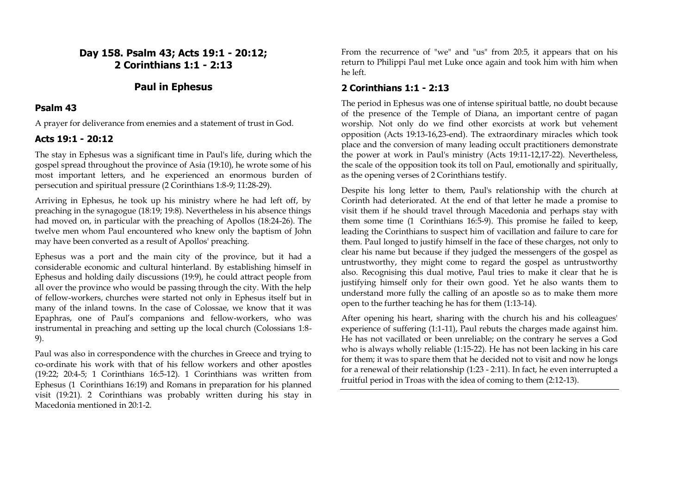# **Day 158. Psalm 43; Acts 19:1 - 20:12; 2 Corinthians 1:1 - 2:13**

# **Paul in Ephesus**

### **Psalm 43**

A prayer for deliverance from enemies and a statement of trust in God.

# **Acts 19:1 - 20:12**

The stay in Ephesus was a significant time in Paul's life, during which the gospel spread throughout the province of Asia (19:10), he wrote some of his most important letters, and he experienced an enormous burden of persecution and spiritual pressure (2 Corinthians 1:8-9; 11:28-29).

Arriving in Ephesus, he took up his ministry where he had left off, by preaching in the synagogue (18:19; 19:8). Nevertheless in his absence things had moved on, in particular with the preaching of Apollos (18:24-26). The twelve men whom Paul encountered who knew only the baptism of John may have been converted as a result of Apollos' preaching.

Ephesus was a port and the main city of the province, but it had a considerable economic and cultural hinterland. By establishing himself in Ephesus and holding daily discussions (19:9), he could attract people from all over the province who would be passing through the city. With the help of fellow-workers, churches were started not only in Ephesus itself but in many of the inland towns. In the case of Colossae, we know that it was Epaphras, one of Paul's companions and fellow-workers, who was instrumental in preaching and setting up the local church (Colossians 1:8- 9).

Paul was also in correspondence with the churches in Greece and trying to co-ordinate his work with that of his fellow workers and other apostles (19:22; 20:4-5; 1 Corinthians 16:5-12). 1 Corinthians was written from Ephesus (1 Corinthians 16:19) and Romans in preparation for his planned visit (19:21). 2 Corinthians was probably written during his stay in Macedonia mentioned in 20:1-2.

From the recurrence of "we" and "us" from 20:5, it appears that on his return to Philippi Paul met Luke once again and took him with him when he left.

# **2 Corinthians 1:1 - 2:13**

The period in Ephesus was one of intense spiritual battle, no doubt because of the presence of the Temple of Diana, an important centre of pagan worship. Not only do we find other exorcists at work but vehement opposition (Acts 19:13-16,23-end). The extraordinary miracles which took place and the conversion of many leading occult practitioners demonstrate the power at work in Paul's ministry (Acts 19:11-12,17-22). Nevertheless, the scale of the opposition took its toll on Paul, emotionally and spiritually, as the opening verses of 2 Corinthians testify.

Despite his long letter to them, Paul's relationship with the church at Corinth had deteriorated. At the end of that letter he made a promise to visit them if he should travel through Macedonia and perhaps stay with them some time (1 Corinthians 16:5-9). This promise he failed to keep, leading the Corinthians to suspect him of vacillation and failure to care for them. Paul longed to justify himself in the face of these charges, not only to clear his name but because if they judged the messengers of the gospel as untrustworthy, they might come to regard the gospel as untrustworthy also. Recognising this dual motive, Paul tries to make it clear that he is justifying himself only for their own good. Yet he also wants them to understand more fully the calling of an apostle so as to make them more open to the further teaching he has for them (1:13-14).

After opening his heart, sharing with the church his and his colleagues' experience of suffering (1:1-11), Paul rebuts the charges made against him. He has not vacillated or been unreliable; on the contrary he serves a God who is always wholly reliable (1:15-22). He has not been lacking in his care for them; it was to spare them that he decided not to visit and now he longs for a renewal of their relationship (1:23 - 2:11). In fact, he even interrupted a fruitful period in Troas with the idea of coming to them (2:12-13).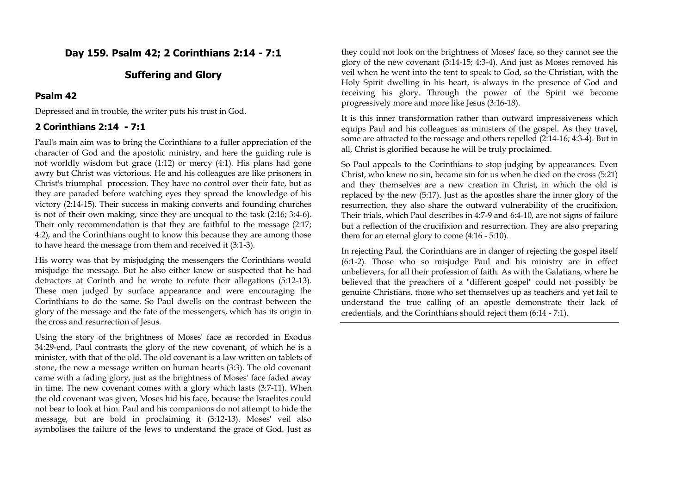# **Day 159. Psalm 42; 2 Corinthians 2:14 - 7:1**

### **Suffering and Glory**

#### **Psalm 42**

Depressed and in trouble, the writer puts his trust in God.

### **2 Corinthians 2:14 - 7:1**

Paul's main aim was to bring the Corinthians to a fuller appreciation of the character of God and the apostolic ministry, and here the guiding rule is not worldly wisdom but grace (1:12) or mercy (4:1). His plans had gone awry but Christ was victorious. He and his colleagues are like prisoners in Christ's triumphal procession. They have no control over their fate, but as they are paraded before watching eyes they spread the knowledge of his victory (2:14-15). Their success in making converts and founding churches is not of their own making, since they are unequal to the task (2:16; 3:4-6). Their only recommendation is that they are faithful to the message (2:17; 4:2), and the Corinthians ought to know this because they are among those to have heard the message from them and received it (3:1-3).

His worry was that by misjudging the messengers the Corinthians would misjudge the message. But he also either knew or suspected that he had detractors at Corinth and he wrote to refute their allegations (5:12-13). These men judged by surface appearance and were encouraging the Corinthians to do the same. So Paul dwells on the contrast between the glory of the message and the fate of the messengers, which has its origin in the cross and resurrection of Jesus.

Using the story of the brightness of Moses' face as recorded in Exodus 34:29-end, Paul contrasts the glory of the new covenant, of which he is a minister, with that of the old. The old covenant is a law written on tablets of stone, the new a message written on human hearts (3:3). The old covenant came with a fading glory, just as the brightness of Moses' face faded away in time. The new covenant comes with a glory which lasts (3:7-11). When the old covenant was given, Moses hid his face, because the Israelites could not bear to look at him. Paul and his companions do not attempt to hide the message, but are bold in proclaiming it (3:12-13). Moses' veil also symbolises the failure of the Jews to understand the grace of God. Just as

they could not look on the brightness of Moses' face, so they cannot see the glory of the new covenant (3:14-15; 4:3-4). And just as Moses removed his veil when he went into the tent to speak to God, so the Christian, with the Holy Spirit dwelling in his heart, is always in the presence of God and receiving his glory. Through the power of the Spirit we become progressively more and more like Jesus (3:16-18).

It is this inner transformation rather than outward impressiveness which equips Paul and his colleagues as ministers of the gospel. As they travel, some are attracted to the message and others repelled (2:14-16; 4:3-4). But in all, Christ is glorified because he will be truly proclaimed.

So Paul appeals to the Corinthians to stop judging by appearances. Even Christ, who knew no sin, became sin for us when he died on the cross (5:21) and they themselves are a new creation in Christ, in which the old is replaced by the new (5:17). Just as the apostles share the inner glory of the resurrection, they also share the outward vulnerability of the crucifixion. Their trials, which Paul describes in 4:7-9 and 6:4-10, are not signs of failure but a reflection of the crucifixion and resurrection. They are also preparing them for an eternal glory to come (4:16 - 5:10).

In rejecting Paul, the Corinthians are in danger of rejecting the gospel itself (6:1-2). Those who so misjudge Paul and his ministry are in effect unbelievers, for all their profession of faith. As with the Galatians, where he believed that the preachers of a "different gospel" could not possibly be genuine Christians, those who set themselves up as teachers and yet fail to understand the true calling of an apostle demonstrate their lack of credentials, and the Corinthians should reject them (6:14 - 7:1).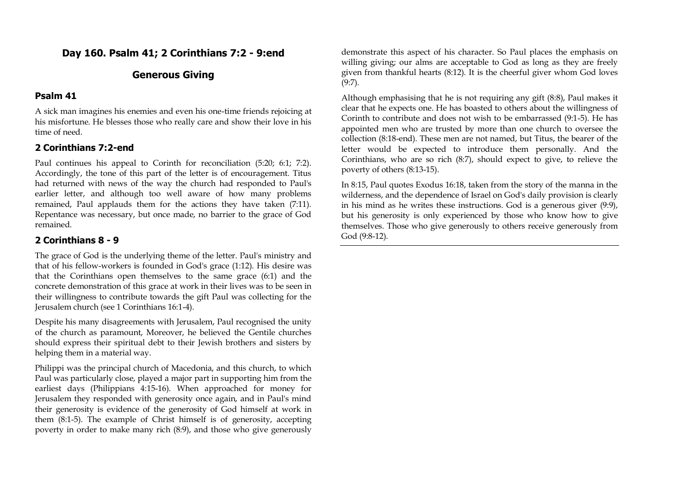# **Day 160. Psalm 41; 2 Corinthians 7:2 - 9:end**

### **Generous Giving**

#### **Psalm 41**

A sick man imagines his enemies and even his one-time friends rejoicing at his misfortune. He blesses those who really care and show their love in his time of need.

### **2 Corinthians 7:2-end**

Paul continues his appeal to Corinth for reconciliation (5:20; 6:1; 7:2). Accordingly, the tone of this part of the letter is of encouragement. Titus had returned with news of the way the church had responded to Paul's earlier letter, and although too well aware of how many problems remained, Paul applauds them for the actions they have taken (7:11). Repentance was necessary, but once made, no barrier to the grace of God remained.

### **2 Corinthians 8 - 9**

The grace of God is the underlying theme of the letter. Paul's ministry and that of his fellow-workers is founded in God's grace (1:12). His desire was that the Corinthians open themselves to the same grace (6:1) and the concrete demonstration of this grace at work in their lives was to be seen in their willingness to contribute towards the gift Paul was collecting for the Jerusalem church (see 1 Corinthians 16:1-4).

Despite his many disagreements with Jerusalem, Paul recognised the unity of the church as paramount, Moreover, he believed the Gentile churches should express their spiritual debt to their Jewish brothers and sisters by helping them in a material way.

Philippi was the principal church of Macedonia, and this church, to which Paul was particularly close, played a major part in supporting him from the earliest days (Philippians 4:15-16). When approached for money for Jerusalem they responded with generosity once again, and in Paul's mind their generosity is evidence of the generosity of God himself at work in them (8:1-5). The example of Christ himself is of generosity, accepting poverty in order to make many rich (8:9), and those who give generously

demonstrate this aspect of his character. So Paul places the emphasis on willing giving; our alms are acceptable to God as long as they are freely given from thankful hearts (8:12). It is the cheerful giver whom God loves (9:7).

Although emphasising that he is not requiring any gift (8:8), Paul makes it clear that he expects one. He has boasted to others about the willingness of Corinth to contribute and does not wish to be embarrassed (9:1-5). He has appointed men who are trusted by more than one church to oversee the collection (8:18-end). These men are not named, but Titus, the bearer of the letter would be expected to introduce them personally. And the Corinthians, who are so rich (8:7), should expect to give, to relieve the poverty of others (8:13-15).

In 8:15, Paul quotes Exodus 16:18, taken from the story of the manna in the wilderness, and the dependence of Israel on God's daily provision is clearly in his mind as he writes these instructions. God is a generous giver (9:9), but his generosity is only experienced by those who know how to give themselves. Those who give generously to others receive generously from God (9:8-12).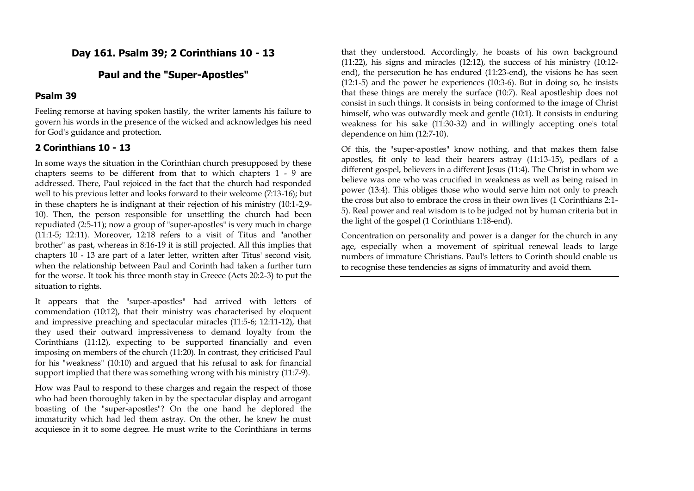# **Day 161. Psalm 39; 2 Corinthians 10 - 13**

# **Paul and the "Super-Apostles"**

#### **Psalm 39**

Feeling remorse at having spoken hastily, the writer laments his failure to govern his words in the presence of the wicked and acknowledges his need for God's guidance and protection.

### **2 Corinthians 10 - 13**

In some ways the situation in the Corinthian church presupposed by these chapters seems to be different from that to which chapters 1 - 9 are addressed. There, Paul rejoiced in the fact that the church had responded well to his previous letter and looks forward to their welcome (7:13-16); but in these chapters he is indignant at their rejection of his ministry (10:1-2,9- 10). Then, the person responsible for unsettling the church had been repudiated (2:5-11); now a group of "super-apostles" is very much in charge (11:1-5; 12:11). Moreover, 12:18 refers to a visit of Titus and "another brother" as past, whereas in 8:16-19 it is still projected. All this implies that chapters 10 - 13 are part of a later letter, written after Titus' second visit, when the relationship between Paul and Corinth had taken a further turn for the worse. It took his three month stay in Greece (Acts 20:2-3) to put the situation to rights.

It appears that the "super-apostles" had arrived with letters of commendation (10:12), that their ministry was characterised by eloquent and impressive preaching and spectacular miracles (11:5-6; 12:11-12), that they used their outward impressiveness to demand loyalty from the Corinthians (11:12), expecting to be supported financially and even imposing on members of the church (11:20). In contrast, they criticised Paul for his "weakness" (10:10) and argued that his refusal to ask for financial support implied that there was something wrong with his ministry (11:7-9).

How was Paul to respond to these charges and regain the respect of those who had been thoroughly taken in by the spectacular display and arrogant boasting of the "super-apostles"? On the one hand he deplored the immaturity which had led them astray. On the other, he knew he must acquiesce in it to some degree. He must write to the Corinthians in terms

that they understood. Accordingly, he boasts of his own background (11:22), his signs and miracles (12:12), the success of his ministry (10:12 end), the persecution he has endured (11:23-end), the visions he has seen (12:1-5) and the power he experiences (10:3-6). But in doing so, he insists that these things are merely the surface (10:7). Real apostleship does not consist in such things. It consists in being conformed to the image of Christ himself, who was outwardly meek and gentle (10:1). It consists in enduring weakness for his sake (11:30-32) and in willingly accepting one's total dependence on him (12:7-10).

Of this, the "super-apostles" know nothing, and that makes them false apostles, fit only to lead their hearers astray (11:13-15), pedlars of a different gospel, believers in a different Jesus (11:4). The Christ in whom we believe was one who was crucified in weakness as well as being raised in power (13:4). This obliges those who would serve him not only to preach the cross but also to embrace the cross in their own lives (1 Corinthians 2:1- 5). Real power and real wisdom is to be judged not by human criteria but in the light of the gospel (1 Corinthians 1:18-end).

Concentration on personality and power is a danger for the church in any age, especially when a movement of spiritual renewal leads to large numbers of immature Christians. Paul's letters to Corinth should enable us to recognise these tendencies as signs of immaturity and avoid them.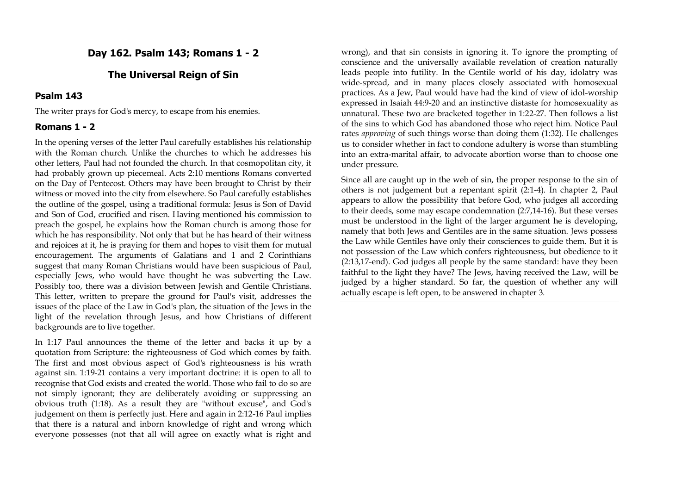# **Day 162. Psalm 143; Romans 1 - 2**

# **The Universal Reign of Sin**

#### **Psalm 143**

The writer prays for God's mercy, to escape from his enemies.

#### **Romans 1 - 2**

In the opening verses of the letter Paul carefully establishes his relationship with the Roman church. Unlike the churches to which he addresses his other letters, Paul had not founded the church. In that cosmopolitan city, it had probably grown up piecemeal. Acts 2:10 mentions Romans converted on the Day of Pentecost. Others may have been brought to Christ by their witness or moved into the city from elsewhere. So Paul carefully establishes the outline of the gospel, using a traditional formula: Jesus is Son of David and Son of God, crucified and risen. Having mentioned his commission to preach the gospel, he explains how the Roman church is among those for which he has responsibility. Not only that but he has heard of their witness and rejoices at it, he is praying for them and hopes to visit them for mutual encouragement. The arguments of Galatians and 1 and 2 Corinthians suggest that many Roman Christians would have been suspicious of Paul, especially Jews, who would have thought he was subverting the Law. Possibly too, there was a division between Jewish and Gentile Christians. This letter, written to prepare the ground for Paul's visit, addresses the issues of the place of the Law in God's plan, the situation of the Jews in the light of the revelation through Jesus, and how Christians of different backgrounds are to live together.

In 1:17 Paul announces the theme of the letter and backs it up by a quotation from Scripture: the righteousness of God which comes by faith. The first and most obvious aspect of God's righteousness is his wrath against sin. 1:19-21 contains a very important doctrine: it is open to all to recognise that God exists and created the world. Those who fail to do so are not simply ignorant; they are deliberately avoiding or suppressing an obvious truth (1:18). As a result they are "without excuse", and God's judgement on them is perfectly just. Here and again in 2:12-16 Paul implies that there is a natural and inborn knowledge of right and wrong which everyone possesses (not that all will agree on exactly what is right and wrong), and that sin consists in ignoring it. To ignore the prompting of conscience and the universally available revelation of creation naturally leads people into futility. In the Gentile world of his day, idolatry was wide-spread, and in many places closely associated with homosexual practices. As a Jew, Paul would have had the kind of view of idol-worship expressed in Isaiah 44:9-20 and an instinctive distaste for homosexuality as unnatural. These two are bracketed together in 1:22-27. Then follows a list of the sins to which God has abandoned those who reject him. Notice Paul rates *approving* of such things worse than doing them (1:32). He challenges us to consider whether in fact to condone adultery is worse than stumbling into an extra-marital affair, to advocate abortion worse than to choose one under pressure.

Since all are caught up in the web of sin, the proper response to the sin of others is not judgement but a repentant spirit (2:1-4). In chapter 2, Paul appears to allow the possibility that before God, who judges all according to their deeds, some may escape condemnation (2:7,14-16). But these verses must be understood in the light of the larger argument he is developing, namely that both Jews and Gentiles are in the same situation. Jews possess the Law while Gentiles have only their consciences to guide them. But it is not possession of the Law which confers righteousness, but obedience to it (2:13,17-end). God judges all people by the same standard: have they been faithful to the light they have? The Jews, having received the Law, will be judged by a higher standard. So far, the question of whether any will actually escape is left open, to be answered in chapter 3.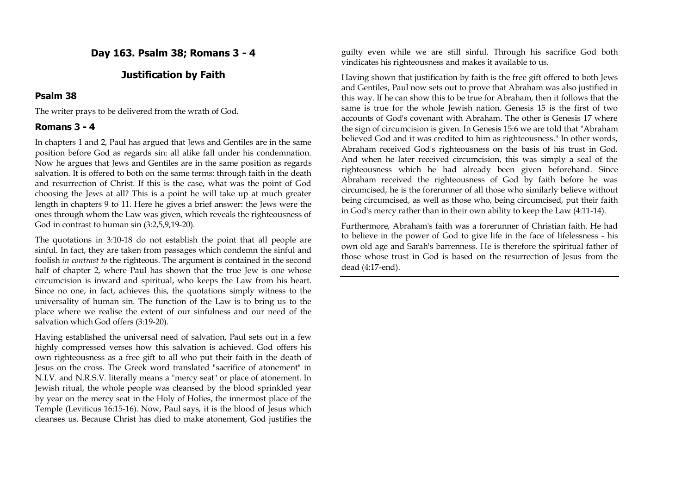# **Day 163. Psalm 38; Romans 3 - 4**

# **Justification by Faith**

### **Psalm 38**

The writer prays to be delivered from the wrath of God.

### **Romans 3 - 4**

In chapters 1 and 2, Paul has argued that Jews and Gentiles are in the same position before God as regards sin: all alike fall under his condemnation. Now he argues that Jews and Gentiles are in the same position as regards salvation. It is offered to both on the same terms: through faith in the death and resurrection of Christ. If this is the case, what was the point of God choosing the Jews at all? This is a point he will take up at much greater length in chapters 9 to 11. Here he gives a brief answer: the Jews were the ones through whom the Law was given, which reveals the righteousness of God in contrast to human sin (3:2,5,9,19-20).

The quotations in 3:10-18 do not establish the point that all people are sinful. In fact, they are taken from passages which condemn the sinful and foolish *in contrast to* the righteous. The argument is contained in the second half of chapter 2, where Paul has shown that the true Jew is one whose circumcision is inward and spiritual, who keeps the Law from his heart. Since no one, in fact, achieves this, the quotations simply witness to the universality of human sin. The function of the Law is to bring us to the place where we realise the extent of our sinfulness and our need of the salvation which God offers (3:19-20).

Having established the universal need of salvation, Paul sets out in a few highly compressed verses how this salvation is achieved. God offers his own righteousness as a free gift to all who put their faith in the death of Jesus on the cross. The Greek word translated "sacrifice of atonement" in N.I.V. and N.R.S.V. literally means a "mercy seat" or place of atonement. In Jewish ritual, the whole people was cleansed by the blood sprinkled year by year on the mercy seat in the Holy of Holies, the innermost place of the Temple (Leviticus 16:15-16). Now, Paul says, it is the blood of Jesus which cleanses us. Because Christ has died to make atonement, God justifies the

guilty even while we are still sinful. Through his sacrifice God both vindicates his righteousness and makes it available to us.

Having shown that justification by faith is the free gift offered to both Jews and Gentiles, Paul now sets out to prove that Abraham was also justified in this way. If he can show this to be true for Abraham, then it follows that the same is true for the whole Jewish nation. Genesis 15 is the first of two accounts of God's covenant with Abraham. The other is Genesis 17 where the sign of circumcision is given. In Genesis 15:6 we are told that "Abraham believed God and it was credited to him as righteousness." In other words, Abraham received God's righteousness on the basis of his trust in God. And when he later received circumcision, this was simply a seal of the righteousness which he had already been given beforehand. Since Abraham received the righteousness of God by faith before he was circumcised, he is the forerunner of all those who similarly believe without being circumcised, as well as those who, being circumcised, put their faith in God's mercy rather than in their own ability to keep the Law (4:11-14).

Furthermore, Abraham's faith was a forerunner of Christian faith. He had to believe in the power of God to give life in the face of lifelessness - his own old age and Sarah's barrenness. He is therefore the spiritual father of those whose trust in God is based on the resurrection of Jesus from the dead (4:17-end).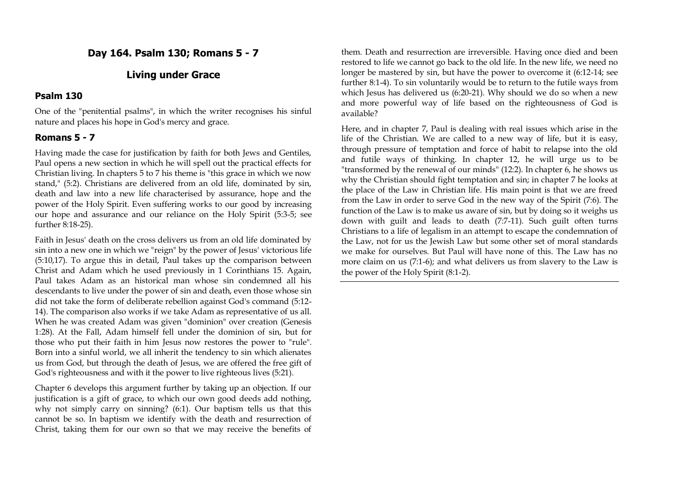# **Day 164. Psalm 130; Romans 5 - 7**

# **Living under Grace**

### **Psalm 130**

One of the "penitential psalms", in which the writer recognises his sinful nature and places his hope in God's mercy and grace.

### **Romans 5 - 7**

Having made the case for justification by faith for both Jews and Gentiles, Paul opens a new section in which he will spell out the practical effects for Christian living. In chapters 5 to 7 his theme is "this grace in which we now stand," (5:2). Christians are delivered from an old life, dominated by sin, death and law into a new life characterised by assurance, hope and the power of the Holy Spirit. Even suffering works to our good by increasing our hope and assurance and our reliance on the Holy Spirit (5:3-5; see further 8:18-25).

Faith in Jesus' death on the cross delivers us from an old life dominated by sin into a new one in which we "reign" by the power of Jesus' victorious life (5:10,17). To argue this in detail, Paul takes up the comparison between Christ and Adam which he used previously in 1 Corinthians 15. Again, Paul takes Adam as an historical man whose sin condemned all his descendants to live under the power of sin and death, even those whose sin did not take the form of deliberate rebellion against God's command (5:12- 14). The comparison also works if we take Adam as representative of us all. When he was created Adam was given "dominion" over creation (Genesis 1:28). At the Fall, Adam himself fell under the dominion of sin, but for those who put their faith in him Jesus now restores the power to "rule". Born into a sinful world, we all inherit the tendency to sin which alienates us from God, but through the death of Jesus, we are offered the free gift of God's righteousness and with it the power to live righteous lives (5:21).

Chapter 6 develops this argument further by taking up an objection. If our justification is a gift of grace, to which our own good deeds add nothing, why not simply carry on sinning? (6:1). Our baptism tells us that this cannot be so. In baptism we identify with the death and resurrection of Christ, taking them for our own so that we may receive the benefits of

them. Death and resurrection are irreversible. Having once died and been restored to life we cannot go back to the old life. In the new life, we need no longer be mastered by sin, but have the power to overcome it (6:12-14; see further 8:1-4). To sin voluntarily would be to return to the futile ways from which Jesus has delivered us (6:20-21). Why should we do so when a new and more powerful way of life based on the righteousness of God is available?

Here, and in chapter 7, Paul is dealing with real issues which arise in the life of the Christian. We are called to a new way of life, but it is easy, through pressure of temptation and force of habit to relapse into the old and futile ways of thinking. In chapter 12, he will urge us to be "transformed by the renewal of our minds" (12:2). In chapter 6, he shows us why the Christian should fight temptation and sin; in chapter 7 he looks at the place of the Law in Christian life. His main point is that we are freed from the Law in order to serve God in the new way of the Spirit (7:6). The function of the Law is to make us aware of sin, but by doing so it weighs us down with guilt and leads to death (7:7-11). Such guilt often turns Christians to a life of legalism in an attempt to escape the condemnation of the Law, not for us the Jewish Law but some other set of moral standards we make for ourselves. But Paul will have none of this. The Law has no more claim on us (7:1-6); and what delivers us from slavery to the Law is the power of the Holy Spirit (8:1-2).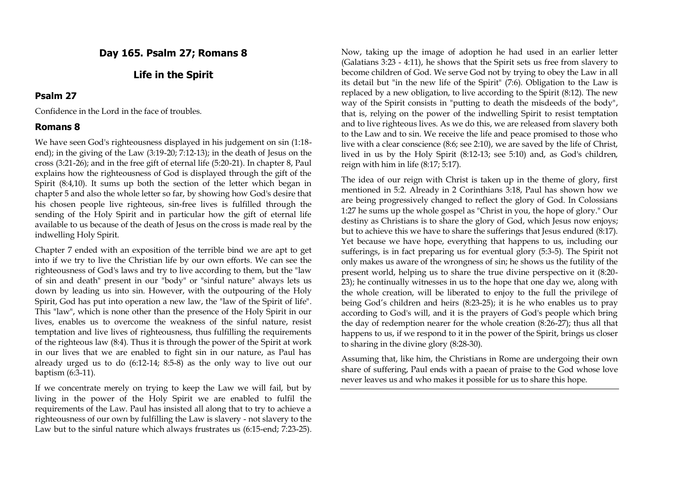# **Day 165. Psalm 27; Romans 8**

# **Life in the Spirit**

### **Psalm 27**

Confidence in the Lord in the face of troubles.

# **Romans 8**

We have seen God's righteousness displayed in his judgement on sin (1:18 end); in the giving of the Law (3:19-20; 7:12-13); in the death of Jesus on the cross (3:21-26); and in the free gift of eternal life (5:20-21). In chapter 8, Paul explains how the righteousness of God is displayed through the gift of the Spirit (8:4,10). It sums up both the section of the letter which began in chapter 5 and also the whole letter so far, by showing how God's desire that his chosen people live righteous, sin-free lives is fulfilled through the sending of the Holy Spirit and in particular how the gift of eternal life available to us because of the death of Jesus on the cross is made real by the indwelling Holy Spirit.

Chapter 7 ended with an exposition of the terrible bind we are apt to get into if we try to live the Christian life by our own efforts. We can see the righteousness of God's laws and try to live according to them, but the "law of sin and death" present in our "body" or "sinful nature" always lets us down by leading us into sin. However, with the outpouring of the Holy Spirit, God has put into operation a new law, the "law of the Spirit of life". This "law", which is none other than the presence of the Holy Spirit in our lives, enables us to overcome the weakness of the sinful nature, resist temptation and live lives of righteousness, thus fulfilling the requirements of the righteous law (8:4). Thus it is through the power of the Spirit at work in our lives that we are enabled to fight sin in our nature, as Paul has already urged us to do (6:12-14; 8:5-8) as the only way to live out our baptism (6:3-11).

If we concentrate merely on trying to keep the Law we will fail, but by living in the power of the Holy Spirit we are enabled to fulfil the requirements of the Law. Paul has insisted all along that to try to achieve a righteousness of our own by fulfilling the Law is slavery - not slavery to the Law but to the sinful nature which always frustrates us (6:15-end; 7:23-25).

Now, taking up the image of adoption he had used in an earlier letter (Galatians 3:23 - 4:11), he shows that the Spirit sets us free from slavery to become children of God. We serve God not by trying to obey the Law in all its detail but "in the new life of the Spirit" (7:6). Obligation to the Law is replaced by a new obligation, to live according to the Spirit (8:12). The new way of the Spirit consists in "putting to death the misdeeds of the body", that is, relying on the power of the indwelling Spirit to resist temptation and to live righteous lives. As we do this, we are released from slavery both to the Law and to sin. We receive the life and peace promised to those who live with a clear conscience (8:6; see 2:10), we are saved by the life of Christ, lived in us by the Holy Spirit (8:12-13; see 5:10) and, as God's children, reign with him in life (8:17; 5:17).

The idea of our reign with Christ is taken up in the theme of glory, first mentioned in 5:2. Already in 2 Corinthians 3:18, Paul has shown how we are being progressively changed to reflect the glory of God. In Colossians 1:27 he sums up the whole gospel as "Christ in you, the hope of glory." Our destiny as Christians is to share the glory of God, which Jesus now enjoys; but to achieve this we have to share the sufferings that Jesus endured (8:17). Yet because we have hope, everything that happens to us, including our sufferings, is in fact preparing us for eventual glory (5:3-5). The Spirit not only makes us aware of the wrongness of sin; he shows us the futility of the present world, helping us to share the true divine perspective on it (8:20- 23); he continually witnesses in us to the hope that one day we, along with the whole creation, will be liberated to enjoy to the full the privilege of being God's children and heirs (8:23-25); it is he who enables us to pray according to God's will, and it is the prayers of God's people which bring the day of redemption nearer for the whole creation (8:26-27); thus all that happens to us, if we respond to it in the power of the Spirit, brings us closer to sharing in the divine glory (8:28-30).

Assuming that, like him, the Christians in Rome are undergoing their own share of suffering, Paul ends with a paean of praise to the God whose love never leaves us and who makes it possible for us to share this hope.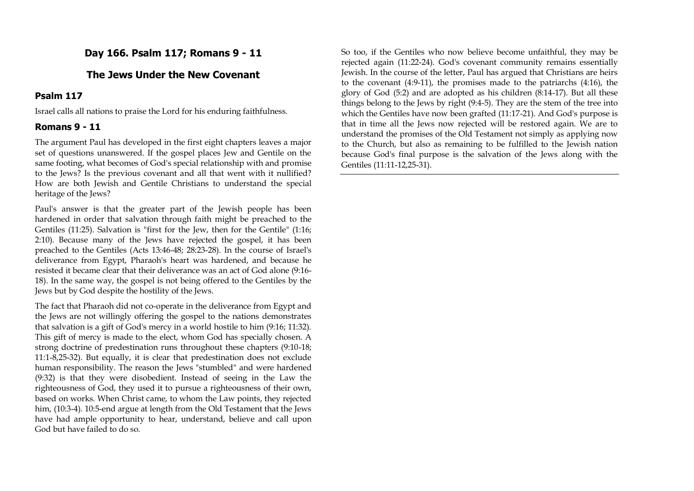# **Day 166. Psalm 117; Romans 9 - 11**

# **The Jews Under the New Covenant**

# **Psalm 117**

Israel calls all nations to praise the Lord for his enduring faithfulness.

# **Romans 9 - 11**

The argument Paul has developed in the first eight chapters leaves a major set of questions unanswered. If the gospel places Jew and Gentile on the same footing, what becomes of God's special relationship with and promise to the Jews? Is the previous covenant and all that went with it nullified? How are both Jewish and Gentile Christians to understand the special heritage of the Jews?

Paul's answer is that the greater part of the Jewish people has been hardened in order that salvation through faith might be preached to the Gentiles (11:25). Salvation is "first for the Jew, then for the Gentile" (1:16; 2:10). Because many of the Jews have rejected the gospel, it has been preached to the Gentiles (Acts 13:46-48; 28:23-28). In the course of Israel's deliverance from Egypt, Pharaoh's heart was hardened, and because he resisted it became clear that their deliverance was an act of God alone (9:16- 18). In the same way, the gospel is not being offered to the Gentiles by the Jews but by God despite the hostility of the Jews.

The fact that Pharaoh did not co-operate in the deliverance from Egypt and the Jews are not willingly offering the gospel to the nations demonstrates that salvation is a gift of God's mercy in a world hostile to him (9:16; 11:32). This gift of mercy is made to the elect, whom God has specially chosen. A strong doctrine of predestination runs throughout these chapters (9:10-18; 11:1-8,25-32). But equally, it is clear that predestination does not exclude human responsibility. The reason the Jews "stumbled" and were hardened (9:32) is that they were disobedient. Instead of seeing in the Law the righteousness of God, they used it to pursue a righteousness of their own, based on works. When Christ came, to whom the Law points, they rejected him, (10:3-4). 10:5-end argue at length from the Old Testament that the Jews have had ample opportunity to hear, understand, believe and call upon God but have failed to do so.

So too, if the Gentiles who now believe become unfaithful, they may be rejected again (11:22-24). God's covenant community remains essentially Jewish. In the course of the letter, Paul has argued that Christians are heirs to the covenant (4:9-11), the promises made to the patriarchs (4:16), the glory of God (5:2) and are adopted as his children (8:14-17). But all these things belong to the Jews by right (9:4-5). They are the stem of the tree into which the Gentiles have now been grafted (11:17-21). And God's purpose is that in time all the Jews now rejected will be restored again. We are to understand the promises of the Old Testament not simply as applying now to the Church, but also as remaining to be fulfilled to the Jewish nation because God's final purpose is the salvation of the Jews along with the Gentiles (11:11-12,25-31).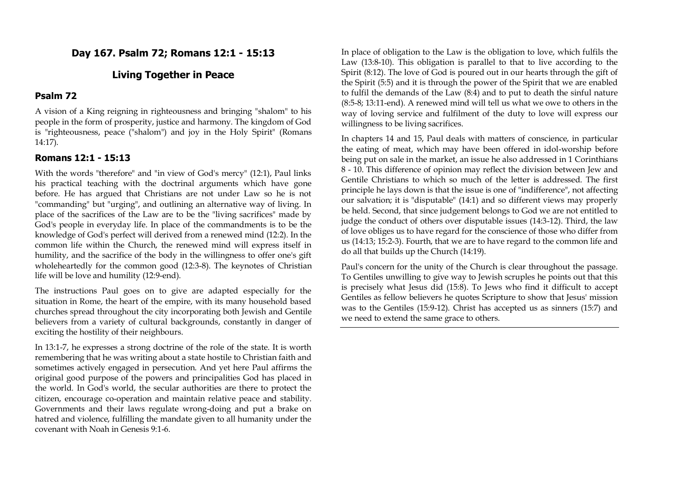# **Day 167. Psalm 72; Romans 12:1 - 15:13**

# **Living Together in Peace**

### **Psalm 72**

A vision of a King reigning in righteousness and bringing "shalom" to his people in the form of prosperity, justice and harmony. The kingdom of God is "righteousness, peace ("shalom") and joy in the Holy Spirit" (Romans 14:17).

#### **Romans 12:1 - 15:13**

With the words "therefore" and "in view of God's mercy" (12:1), Paul links his practical teaching with the doctrinal arguments which have gone before. He has argued that Christians are not under Law so he is not "commanding" but "urging", and outlining an alternative way of living. In place of the sacrifices of the Law are to be the "living sacrifices" made by God's people in everyday life. In place of the commandments is to be the knowledge of God's perfect will derived from a renewed mind (12:2). In the common life within the Church, the renewed mind will express itself in humility, and the sacrifice of the body in the willingness to offer one's gift wholeheartedly for the common good (12:3-8). The keynotes of Christian life will be love and humility (12:9-end).

The instructions Paul goes on to give are adapted especially for the situation in Rome, the heart of the empire, with its many household based churches spread throughout the city incorporating both Jewish and Gentile believers from a variety of cultural backgrounds, constantly in danger of exciting the hostility of their neighbours.

In 13:1-7, he expresses a strong doctrine of the role of the state. It is worth remembering that he was writing about a state hostile to Christian faith and sometimes actively engaged in persecution. And yet here Paul affirms the original good purpose of the powers and principalities God has placed in the world. In God's world, the secular authorities are there to protect the citizen, encourage co-operation and maintain relative peace and stability. Governments and their laws regulate wrong-doing and put a brake on hatred and violence, fulfilling the mandate given to all humanity under the covenant with Noah in Genesis 9:1-6.

In place of obligation to the Law is the obligation to love, which fulfils the Law (13:8-10). This obligation is parallel to that to live according to the Spirit (8:12). The love of God is poured out in our hearts through the gift of the Spirit (5:5) and it is through the power of the Spirit that we are enabled to fulfil the demands of the Law (8:4) and to put to death the sinful nature (8:5-8; 13:11-end). A renewed mind will tell us what we owe to others in the way of loving service and fulfilment of the duty to love will express our willingness to be living sacrifices.

In chapters 14 and 15, Paul deals with matters of conscience, in particular the eating of meat, which may have been offered in idol-worship before being put on sale in the market, an issue he also addressed in 1 Corinthians 8 - 10. This difference of opinion may reflect the division between Jew and Gentile Christians to which so much of the letter is addressed. The first principle he lays down is that the issue is one of "indifference", not affecting our salvation; it is "disputable" (14:1) and so different views may properly be held. Second, that since judgement belongs to God we are not entitled to judge the conduct of others over disputable issues (14:3-12). Third, the law of love obliges us to have regard for the conscience of those who differ from us (14:13; 15:2-3). Fourth, that we are to have regard to the common life and do all that builds up the Church (14:19).

Paul's concern for the unity of the Church is clear throughout the passage. To Gentiles unwilling to give way to Jewish scruples he points out that this is precisely what Jesus did (15:8). To Jews who find it difficult to accept Gentiles as fellow believers he quotes Scripture to show that Jesus' mission was to the Gentiles (15:9-12). Christ has accepted us as sinners (15:7) and we need to extend the same grace to others.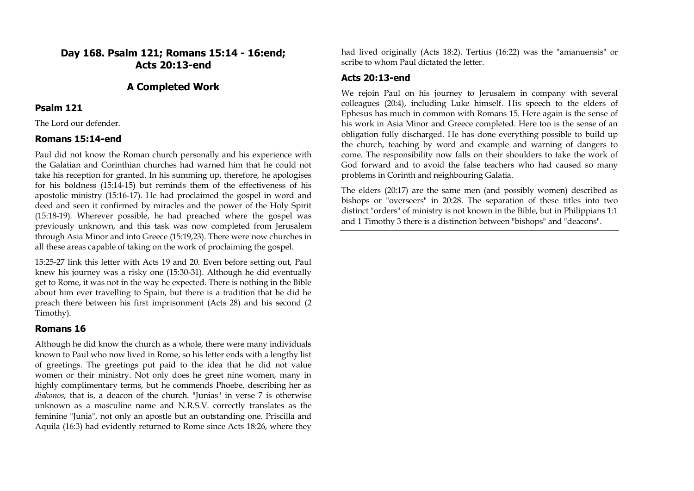# **Day 168. Psalm 121; Romans 15:14 - 16:end; Acts 20:13-end**

# **A Completed Work**

### **Psalm 121**

The Lord our defender.

### **Romans 15:14-end**

Paul did not know the Roman church personally and his experience with the Galatian and Corinthian churches had warned him that he could not take his reception for granted. In his summing up, therefore, he apologises for his boldness (15:14-15) but reminds them of the effectiveness of his apostolic ministry (15:16-17). He had proclaimed the gospel in word and deed and seen it confirmed by miracles and the power of the Holy Spirit (15:18-19). Wherever possible, he had preached where the gospel was previously unknown, and this task was now completed from Jerusalem through Asia Minor and into Greece (15:19,23). There were now churches in all these areas capable of taking on the work of proclaiming the gospel.

15:25-27 link this letter with Acts 19 and 20. Even before setting out, Paul knew his journey was a risky one (15:30-31). Although he did eventually get to Rome, it was not in the way he expected. There is nothing in the Bible about him ever travelling to Spain, but there is a tradition that he did he preach there between his first imprisonment (Acts 28) and his second (2 Timothy).

# **Romans 16**

Although he did know the church as a whole, there were many individuals known to Paul who now lived in Rome, so his letter ends with a lengthy list of greetings. The greetings put paid to the idea that he did not value women or their ministry. Not only does he greet nine women, many in highly complimentary terms, but he commends Phoebe, describing her as *diakonos*, that is, a deacon of the church. "Junias" in verse 7 is otherwise unknown as a masculine name and N.R.S.V. correctly translates as the feminine "Junia", not only an apostle but an outstanding one. Priscilla and Aquila (16:3) had evidently returned to Rome since Acts 18:26, where they

had lived originally (Acts 18:2). Tertius (16:22) was the "amanuensis" or scribe to whom Paul dictated the letter.

# **Acts 20:13-end**

We rejoin Paul on his journey to Jerusalem in company with several colleagues (20:4), including Luke himself. His speech to the elders of Ephesus has much in common with Romans 15. Here again is the sense of his work in Asia Minor and Greece completed. Here too is the sense of an obligation fully discharged. He has done everything possible to build up the church, teaching by word and example and warning of dangers to come. The responsibility now falls on their shoulders to take the work of God forward and to avoid the false teachers who had caused so many problems in Corinth and neighbouring Galatia.

The elders (20:17) are the same men (and possibly women) described as bishops or "overseers" in 20:28. The separation of these titles into two distinct "orders" of ministry is not known in the Bible, but in Philippians 1:1 and 1 Timothy 3 there is a distinction between "bishops" and "deacons".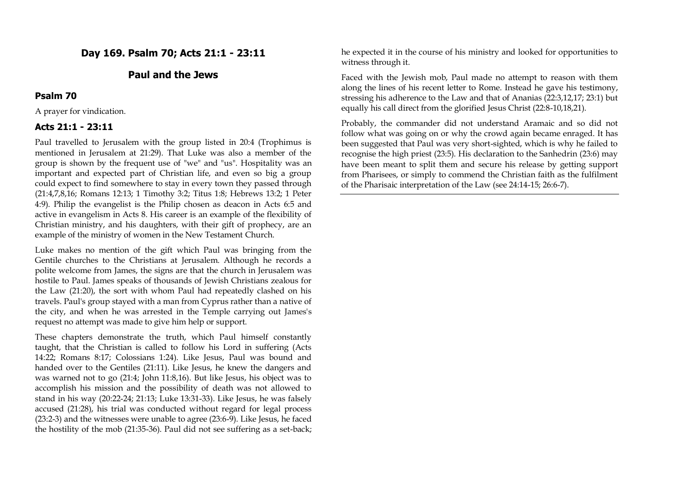# **Day 169. Psalm 70; Acts 21:1 - 23:11**

# **Paul and the Jews**

#### **Psalm 70**

A prayer for vindication.

#### **Acts 21:1 - 23:11**

Paul travelled to Jerusalem with the group listed in 20:4 (Trophimus is mentioned in Jerusalem at 21:29). That Luke was also a member of the group is shown by the frequent use of "we" and "us". Hospitality was an important and expected part of Christian life, and even so big a group could expect to find somewhere to stay in every town they passed through (21:4,7,8,16; Romans 12:13; 1 Timothy 3:2; Titus 1:8; Hebrews 13:2; 1 Peter 4:9). Philip the evangelist is the Philip chosen as deacon in Acts 6:5 and active in evangelism in Acts 8. His career is an example of the flexibility of Christian ministry, and his daughters, with their gift of prophecy, are an example of the ministry of women in the New Testament Church.

Luke makes no mention of the gift which Paul was bringing from the Gentile churches to the Christians at Jerusalem. Although he records a polite welcome from James, the signs are that the church in Jerusalem was hostile to Paul. James speaks of thousands of Jewish Christians zealous for the Law (21:20), the sort with whom Paul had repeatedly clashed on his travels. Paul's group stayed with a man from Cyprus rather than a native of the city, and when he was arrested in the Temple carrying out James's request no attempt was made to give him help or support.

These chapters demonstrate the truth, which Paul himself constantly taught, that the Christian is called to follow his Lord in suffering (Acts 14:22; Romans 8:17; Colossians 1:24). Like Jesus, Paul was bound and handed over to the Gentiles (21:11). Like Jesus, he knew the dangers and was warned not to go (21:4; John 11:8,16). But like Jesus, his object was to accomplish his mission and the possibility of death was not allowed to stand in his way (20:22-24; 21:13; Luke 13:31-33). Like Jesus, he was falsely accused (21:28), his trial was conducted without regard for legal process (23:2-3) and the witnesses were unable to agree (23:6-9). Like Jesus, he faced the hostility of the mob (21:35-36). Paul did not see suffering as a set-back; he expected it in the course of his ministry and looked for opportunities to witness through it.

Faced with the Jewish mob, Paul made no attempt to reason with them along the lines of his recent letter to Rome. Instead he gave his testimony, stressing his adherence to the Law and that of Ananias (22:3,12,17; 23:1) but equally his call direct from the glorified Jesus Christ (22:8-10,18,21).

Probably, the commander did not understand Aramaic and so did not follow what was going on or why the crowd again became enraged. It has been suggested that Paul was very short-sighted, which is why he failed to recognise the high priest (23:5). His declaration to the Sanhedrin (23:6) may have been meant to split them and secure his release by getting support from Pharisees, or simply to commend the Christian faith as the fulfilment of the Pharisaic interpretation of the Law (see 24:14-15; 26:6-7).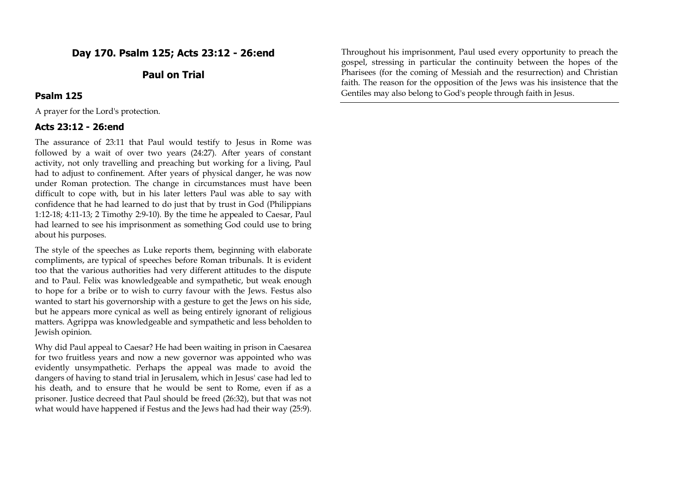# **Day 170. Psalm 125; Acts 23:12 - 26:end**

# **Paul on Trial**

#### **Psalm 125**

A prayer for the Lord's protection.

#### **Acts 23:12 - 26:end**

The assurance of 23:11 that Paul would testify to Jesus in Rome was followed by a wait of over two years (24:27). After years of constant activity, not only travelling and preaching but working for a living, Paul had to adjust to confinement. After years of physical danger, he was now under Roman protection. The change in circumstances must have been difficult to cope with, but in his later letters Paul was able to say with confidence that he had learned to do just that by trust in God (Philippians 1:12-18; 4:11-13; 2 Timothy 2:9-10). By the time he appealed to Caesar, Paul had learned to see his imprisonment as something God could use to bring about his purposes.

The style of the speeches as Luke reports them, beginning with elaborate compliments, are typical of speeches before Roman tribunals. It is evident too that the various authorities had very different attitudes to the dispute and to Paul. Felix was knowledgeable and sympathetic, but weak enough to hope for a bribe or to wish to curry favour with the Jews. Festus also wanted to start his governorship with a gesture to get the Jews on his side, but he appears more cynical as well as being entirely ignorant of religious matters. Agrippa was knowledgeable and sympathetic and less beholden to Jewish opinion.

Why did Paul appeal to Caesar? He had been waiting in prison in Caesarea for two fruitless years and now a new governor was appointed who was evidently unsympathetic. Perhaps the appeal was made to avoid the dangers of having to stand trial in Jerusalem, which in Jesus' case had led to his death, and to ensure that he would be sent to Rome, even if as a prisoner. Justice decreed that Paul should be freed (26:32), but that was not what would have happened if Festus and the Jews had had their way (25:9). Throughout his imprisonment, Paul used every opportunity to preach the gospel, stressing in particular the continuity between the hopes of the Pharisees (for the coming of Messiah and the resurrection) and Christian faith. The reason for the opposition of the Jews was his insistence that the Gentiles may also belong to God's people through faith in Jesus.